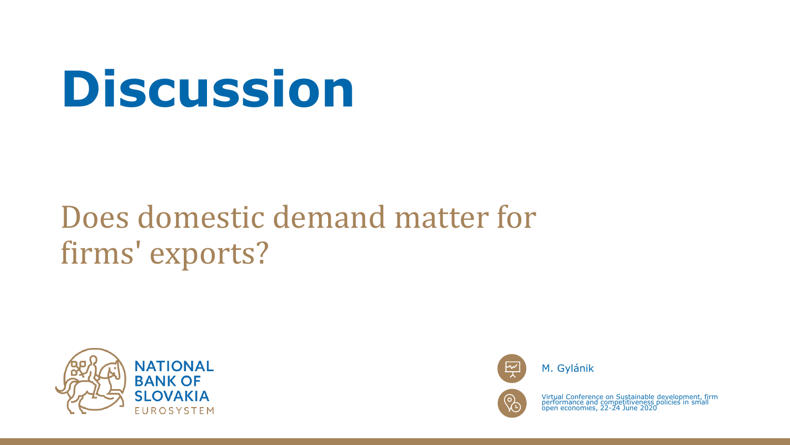# **Discussion**

### Does domestic demand matter for firms' exports?





M. Gylánik



Virtual Conference on Sustainable development, firm performance and competitiveness policies in small open economies, 22-24 June 2020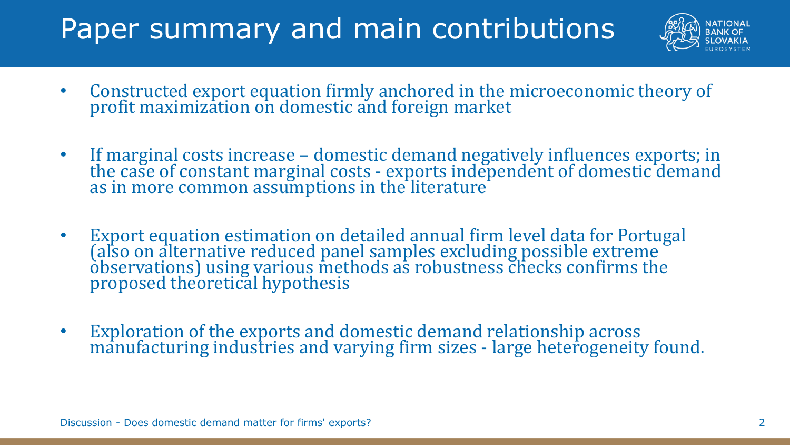### Paper summary and main contributions



- Constructed export equation firmly anchored in the microeconomic theory of profit maximization on domestic and foreign market
- If marginal costs increase domestic demand negatively influences exports; in the case of constant marginal costs - exports independent of domestic demand as in more common assumptions in the literature
- Export equation estimation on detailed annual firm level data for Portugal (also on alternative reduced panel samples excluding possible extreme observations) using various methods as robustness checks confirms the proposed theoretical hypothesis
- Exploration of the exports and domestic demand relationship across manufacturing industries and varying firm sizes - large heterogeneity found.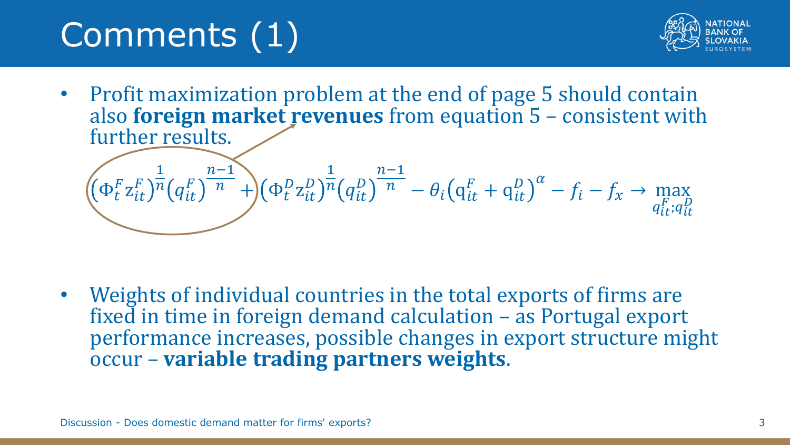# Comments (1)



• Profit maximization problem at the end of page 5 should contain also **foreign market revenues** from equation 5 – consistent with further results.

$$
\left( \Phi_t^F z_{it}^F \right)^{\frac{1}{n}} \left( q_{it}^F \right)^{\frac{n-1}{n}} + \left( \Phi_t^D z_{it}^D \right)^{\frac{1}{n}} \left( q_{it}^D \right)^{\frac{n-1}{n}} - \theta_i \left( q_{it}^F + q_{it}^D \right)^{\alpha} - f_i - f_x \to \max_{q_{it}^F; q_{it}^D}
$$

• Weights of individual countries in the total exports of firms are fixed in time in foreign demand calculation – as Portugal export performance increases, possible changes in export structure might occur – **variable trading partners weights**.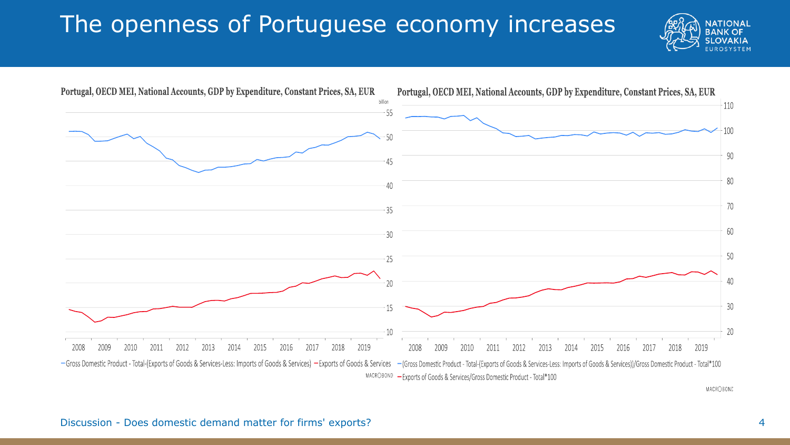#### The openness of Portuguese economy increases





MACROBOND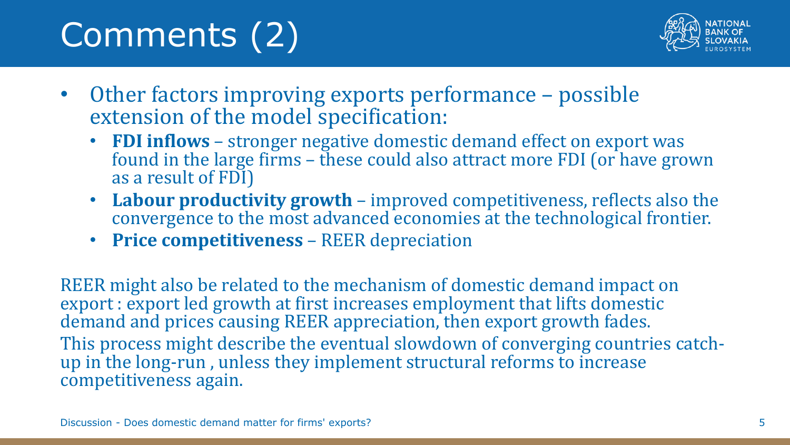# Comments (2)



- Other factors improving exports performance possible extension of the model specification:
	- **FDI inflows** stronger negative domestic demand effect on export was found in the large firms – these could also attract more FDI (or have grown as a result of FDI)
	- **Labour productivity growth** improved competitiveness, reflects also the convergence to the most advanced economies at the technological frontier.
	- **Price competitiveness** REER depreciation

REER might also be related to the mechanism of domestic demand impact on export : export led growth at first increases employment that lifts domestic demand and prices causing REER appreciation, then export growth fades. This process might describe the eventual slowdown of converging countries catchup in the long-run , unless they implement structural reforms to increase competitiveness again.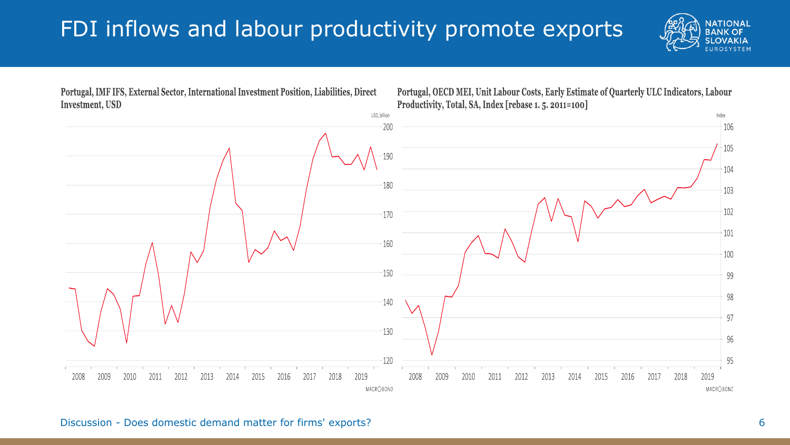#### FDI inflows and labour productivity promote exports





Discussion - Does domestic demand matter for firms' exports? 6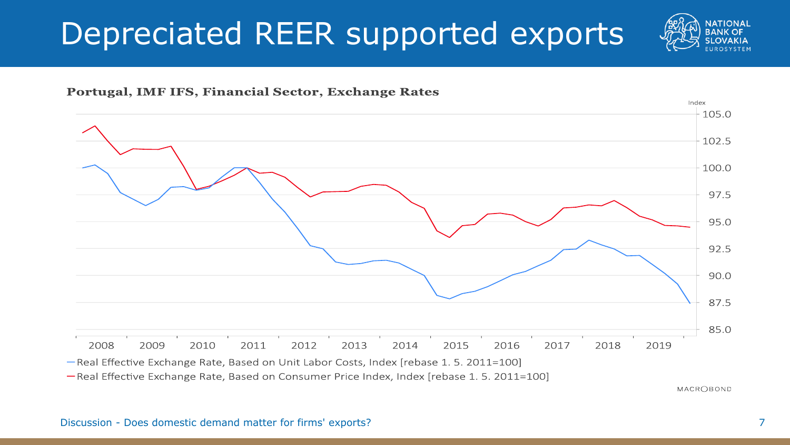### Depreciated REER supported exports







-Real Effective Exchange Rate, Based on Consumer Price Index, Index [rebase 1. 5. 2011=100]

MACR○BOND